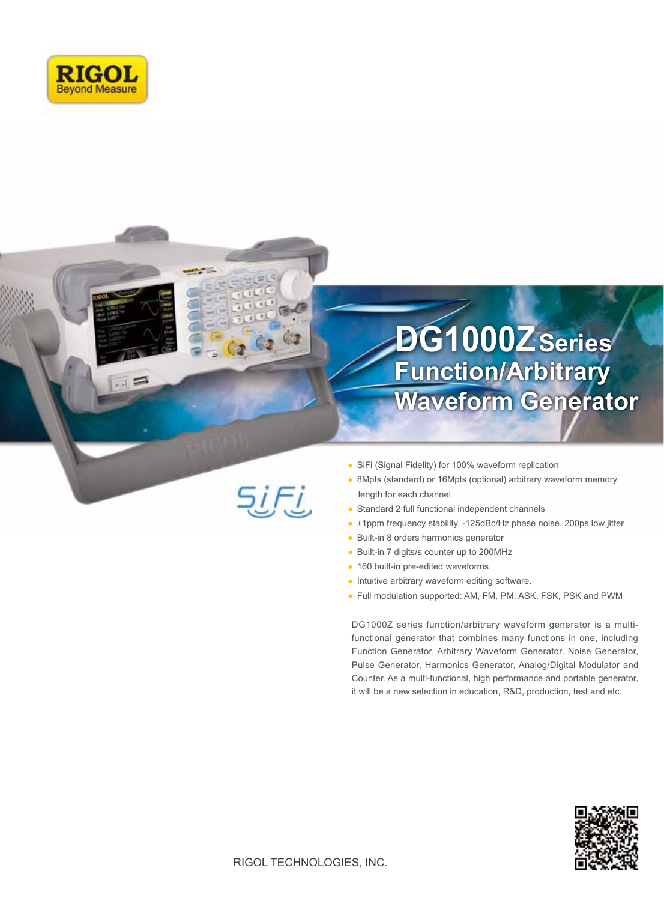

 $=$ 

# **Function/Arbitrary Waveform Generator DG1000ZSeries**

- SiFi (Signal Fidelity) for 100% waveform replication
- 8Mpts (standard) or 16Mpts (optional) arbitrary waveform memory length for each channel
- Standard 2 full functional independent channels  $\Delta$
- ±1ppm frequency stability, -125dBc/Hz phase noise, 200ps low jitter
- Built-in 8 orders harmonics generator  $\bullet$
- $\bullet$ Built-in 7 digits/s counter up to 200MHz
- 160 built-in pre-edited waveforms
- Intuitive arbitrary waveform editing software.
- Full modulation supported: AM, FM, PM, ASK, FSK, PSK and PWM

DG1000Z series function/arbitrary waveform generator is a multifunctional generator that combines many functions in one, including Function Generator, Arbitrary Waveform Generator, Noise Generator, Pulse Generator, Harmonics Generator, Analog/Digital Modulator and Counter. As a multi-functional, high performance and portable generator, it will be a new selection in education, R&D, production, test and etc.



<u>SiFi,</u>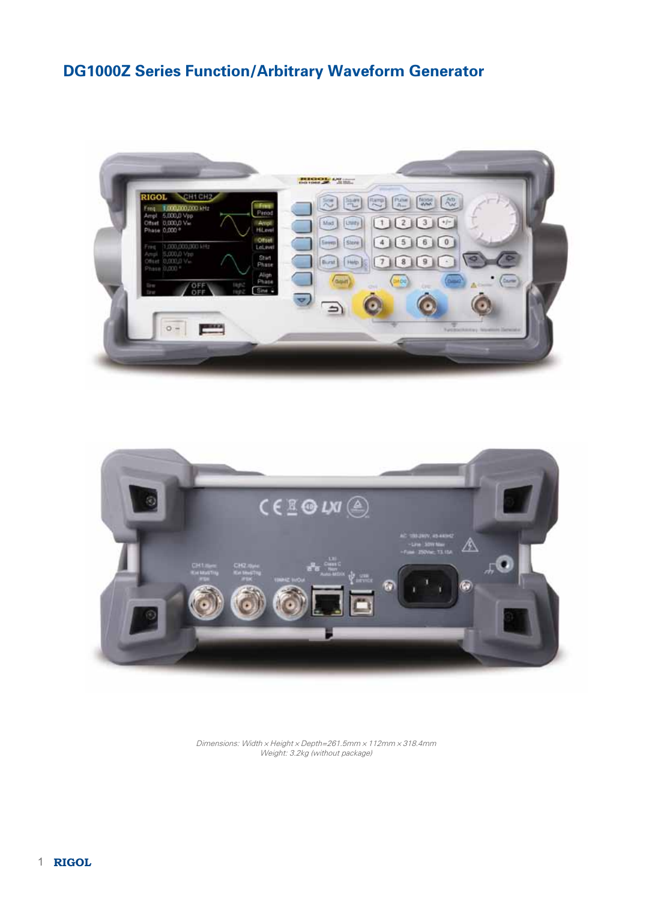## DG1000Z Series Function/Arbitrary Waveform Generator





Dimensions: Width×Height×Depth=261.5mm×112mm×318.4mm Weight: 3.2kg (without package)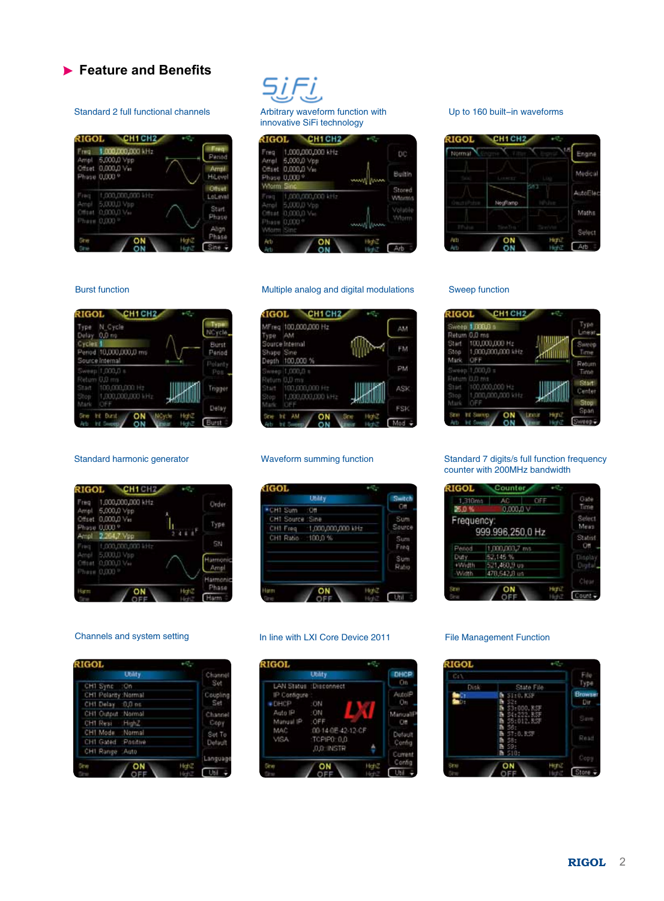### **Feature and Benefits**

#### Standard 2 full functional channels

| Freq<br>Ampl  | 1.000,000,000 kHz<br>5,000,0 Vpp                       |        | Freq<br>Period   |
|---------------|--------------------------------------------------------|--------|------------------|
| Offset        | 0,000,0 Vis<br>Phase 0,000 °                           |        | Armi<br>HiLevel  |
| Freq          | 1,000,000,000 lift;                                    |        | Other<br>LoLevel |
|               | Ampl 5,000,0 Vpp<br>C#141 0,000,0 Var<br>Phase 0,000 ° |        | Sturt.<br>Phase  |
| <b>SER</b>    |                                                        |        | Align<br>Phase   |
| <b>Carros</b> |                                                        | -fer#y | Sine -           |

۰,

### Arbitrary waveform function with innovative SiFi technology

| Freq<br>Ampl  | 1,000,000,000 kHz<br>5,000,0 Vpp     |               | DC                |
|---------------|--------------------------------------|---------------|-------------------|
| Criset        | 0.000,0 Vie<br>Phase 0,000 °         |               | Builtin           |
| wform Sinc    |                                      |               | Stored            |
| Freq          | 1,000,000,000 kHz                    |               | Winnes            |
|               | Ampl 5,000,0 Vpp<br>C#H# 0,000,0 Vac |               | Volatile<br>Wlorm |
| Witehn Strict | Phase 0,000 °                        | <b>MARKET</b> |                   |

#### Multiple analog and digital modulations

### Up to 160 built-in waveforms



#### Burst function

| N. Cycle<br>Type<br>Delay 0.0 no                                |                     | Type<br>NCycle,        |
|-----------------------------------------------------------------|---------------------|------------------------|
| Lycles!<br>Period 10,000,000,0 ms                               |                     | <b>Burst</b><br>Period |
| Source Internal<br>Sweep 1,000,0 s                              |                     | Polanty<br>Pes.        |
| Return U.O.ms<br>Start 100,000,000 Hz<br>Stop 1,000,000,000 kHz |                     | Trigger                |
| Mark<br><b>Sines</b><br>Ħ<br><b>Burit</b>                       | Noyde<br><b>MAG</b> | Delay                  |
| Arts                                                            | High?               | Burst                  |

#### Standard harmonic generator

| Freq<br>Ampl            | 1,000,000,000 kHz<br>5,000,0 Vpp                                            |              | Order                      |
|-------------------------|-----------------------------------------------------------------------------|--------------|----------------------------|
| Criset<br>Phase<br>Ampl | $0,000,0 \, \rm{V}$ es<br>0,000 %<br>2.264,7 Vep                            | ı<br>t۴      | Type                       |
| Freq                    | 1,000,000,000 kHz<br>Ampl 5,000,0 Vpp<br>Cff1#1 0,000,0 Va<br>Phase 0,000 ° |              | 534<br>Harrnonic<br>Ampl   |
| <b>I</b> bst            | эN                                                                          | Hot Z<br>Heh | Harmonic<br>Phase<br>Harth |

| <b>RIGOL</b>         |                |          |
|----------------------|----------------|----------|
|                      | <b>Utility</b> | Channel  |
| CHT Sync :: On       |                | Set      |
| CHT Polarity :Normal |                | Coupling |
| CHI Delay 0.0 ns     |                | Set      |
| CH1 Output : Normal  |                | Channel  |
| CH1 Resi HighZ       |                | Copy     |
| CH1 Mode Normal      |                | Set To   |
| CHI Gated Positive   |                | Default  |
| CH1 Range : Auto     |                |          |
|                      |                | Language |
| <b>STAR</b>          |                |          |

| MFreq 100,000,000 Hz<br>AM<br>ype                                      | AM  |
|------------------------------------------------------------------------|-----|
| Source Internal<br>Shape Sine<br>Depth 100,000 %                       | FM  |
| Sweep 1,000,0 s                                                        | PM  |
| Return 0.0 ms<br>Start<br>100,000,000 Ftz<br>1,000,000,000 kHz<br>Stop | ASK |
| Mark<br>OEI                                                            | FSK |

#### Waveform summing function

|                   | Utility                    | Switch      |
|-------------------|----------------------------|-------------|
| CH1 Sum : Off     |                            | Off         |
| CHT Source : Sine |                            | Sum         |
|                   | CH1 Freq 1,000,000,000 kHz | Source      |
| CH1 Ratio 100.0 % |                            | Sum<br>Freq |
|                   |                            | Sum<br>Rabo |

#### Channels and system setting In line with LXI Core Device 2011 File Management Function

|              | <b>Utility</b>          | DHCP     |
|--------------|-------------------------|----------|
|              | LAN Status : Disconnect | On       |
| IP Configure |                         | AutolP   |
| .DHCP        | :ON                     | Üti      |
| Auto IP      | :ON                     | MangaliP |
| Munual IP.   | <b>SOFF</b>             | $C$ ff   |
| MAC          | 00-14-0E-42-12-CF       | Default  |
| VISA         | TCPIPO D.O.             | Config   |
|              | <b>JULINSTR</b>         |          |
|              |                         | Current  |
| 41.49        |                         | Config   |
|              |                         | Util     |

#### Sweep function

| Start<br>Stop | Sweep 1,000.0<br>Return 0.0 ms<br>100,000,000 Hz<br>1,000,000,000 kHz | <b>TOOLOGIAN</b><br>$\sqrt{1000}$ | Type<br>Linear.<br>Sweep<br>Time |
|---------------|-----------------------------------------------------------------------|-----------------------------------|----------------------------------|
| Mark          | OFF<br>Sweep 1,000,0 s                                                |                                   | Return<br>Tietoè                 |
| Start.        | Return O.D ms<br>100,000,000 Hz<br>Stop: 1,000,000,000 kHz            |                                   | Start<br>Center                  |
| Mark<br>Sm    | OFF<br><b>ITE SANTO</b>                                               | HE BE                             | Stop<br>Span                     |

#### Standard 7 digits/s full function frequency counter with 200MHz bandwidth

| <b>RIGOL</b>      | Counter                |                      |
|-------------------|------------------------|----------------------|
| 1,318mh<br>26.0 % | ÁC<br>OFF<br>0.000.0 V | Gale<br>Time         |
| Frequency:        |                        | Select<br>Meas       |
|                   | 999.996,250,0 Hz       | Statist              |
| Pened             | 1,000,003,7 ms         | OĦ                   |
| Duty.             | 52,145 %               | D splay              |
| +Width            | 521,460,9 us           | Digital <sub>s</sub> |
| Width             | 478,542,8 us           |                      |
|                   |                        | Clear                |
| SZW               | HIEL                   | Count                |

| Ce V        |                                                                                | File                  |
|-------------|--------------------------------------------------------------------------------|-----------------------|
| <b>Disk</b> | State File                                                                     | Type                  |
|             | \$110.83P<br>ь<br>ĸ                                                            | <b>Browser</b><br>Dir |
|             | B<br>\$3:000.KSF<br>R<br>S4:222.RSF<br>55:012.RSF<br>ħ<br>56 <sub>1</sub><br>ħ | <b>SIMP</b>           |
|             | ST:0.RSP<br>ħ<br>ħ<br>58:<br>59.<br>à                                          | Read                  |
|             | 510:<br>ñ                                                                      | Com                   |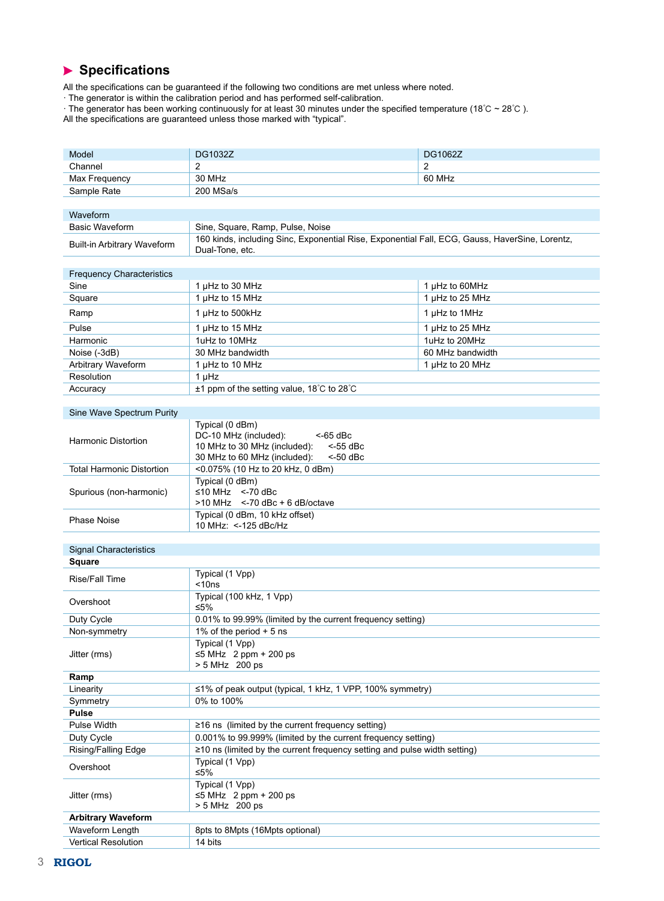### **Specifications**

All the specifications can be guaranteed if the following two conditions are met unless where noted.

· The generator is within the calibration period and has performed self-calibration.

· The generator has been working continuously for at least 30 minutes under the specified temperature (18℃ ~ 28℃ ).

All the specifications are guaranteed unless those marked with "typical".

| Model                            | <b>DG1032Z</b>                                                                                                    | DG1062Z          |  |  |  |
|----------------------------------|-------------------------------------------------------------------------------------------------------------------|------------------|--|--|--|
| Channel                          | 2                                                                                                                 | 2                |  |  |  |
| Max Frequency                    | 30 MHz                                                                                                            | 60 MHz           |  |  |  |
| Sample Rate                      | 200 MSa/s                                                                                                         |                  |  |  |  |
|                                  |                                                                                                                   |                  |  |  |  |
| Waveform                         |                                                                                                                   |                  |  |  |  |
| <b>Basic Waveform</b>            | Sine, Square, Ramp, Pulse, Noise                                                                                  |                  |  |  |  |
| Built-in Arbitrary Waveform      | 160 kinds, including Sinc, Exponential Rise, Exponential Fall, ECG, Gauss, HaverSine, Lorentz,<br>Dual-Tone, etc. |                  |  |  |  |
|                                  |                                                                                                                   |                  |  |  |  |
| <b>Frequency Characteristics</b> |                                                                                                                   |                  |  |  |  |
| Sine                             | 1 µHz to 30 MHz                                                                                                   | 1 µHz to 60MHz   |  |  |  |
| Square                           | 1 µHz to 15 MHz                                                                                                   | 1 µHz to 25 MHz  |  |  |  |
| Ramp                             | 1 µHz to 500kHz                                                                                                   | 1 µHz to 1MHz    |  |  |  |
| Pulse                            | 1 µHz to 15 MHz                                                                                                   | 1 µHz to 25 MHz  |  |  |  |
| Harmonic                         | 1uHz to 10MHz                                                                                                     | 1uHz to 20MHz    |  |  |  |
| Noise (-3dB)                     | 30 MHz bandwidth                                                                                                  | 60 MHz bandwidth |  |  |  |
| Arbitrary Waveform               | 1 µHz to 10 MHz                                                                                                   | 1 µHz to 20 MHz  |  |  |  |
| Resolution                       | $1 \mu$ Hz                                                                                                        |                  |  |  |  |
| Accuracy                         | $\pm$ 1 ppm of the setting value, 18°C to 28°C                                                                    |                  |  |  |  |
|                                  |                                                                                                                   |                  |  |  |  |
| Sine Wave Spectrum Purity        |                                                                                                                   |                  |  |  |  |
|                                  | Typical (0 dBm)                                                                                                   |                  |  |  |  |
|                                  | DC-10 MHz (included):<br>$<$ -65 dBc                                                                              |                  |  |  |  |
| <b>Harmonic Distortion</b>       | 10 MHz to 30 MHz (included):<br>$<$ -55 dBc                                                                       |                  |  |  |  |
|                                  | 30 MHz to 60 MHz (included):<br>$<$ -50 dBc                                                                       |                  |  |  |  |
| <b>Total Harmonic Distortion</b> | <0.075% (10 Hz to 20 kHz, 0 dBm)                                                                                  |                  |  |  |  |
| Typical (0 dBm)                  |                                                                                                                   |                  |  |  |  |
| Spurious (non-harmonic)          | $\leq$ 10 MHz <-70 dBc<br>$>10$ MHz $\leq$ -70 dBc + 6 dB/octave                                                  |                  |  |  |  |
| <b>Phase Noise</b>               | Typical (0 dBm, 10 kHz offset)<br>10 MHz: <-125 dBc/Hz                                                            |                  |  |  |  |
|                                  |                                                                                                                   |                  |  |  |  |
| <b>Signal Characteristics</b>    |                                                                                                                   |                  |  |  |  |
| <b>Square</b>                    |                                                                                                                   |                  |  |  |  |
| Rise/Fall Time                   | Typical (1 Vpp)<br>$<$ 10ns                                                                                       |                  |  |  |  |
| Overshoot                        | Typical (100 kHz, 1 Vpp)<br>≤5%                                                                                   |                  |  |  |  |
| Duty Cycle                       | 0.01% to 99.99% (limited by the current frequency setting)                                                        |                  |  |  |  |
| Non-symmetry                     | 1% of the period $+5$ ns                                                                                          |                  |  |  |  |
|                                  | Typical (1 Vpp)                                                                                                   |                  |  |  |  |
| Jitter (rms)                     | $\leq$ 5 MHz 2 ppm + 200 ps                                                                                       |                  |  |  |  |
|                                  | > 5 MHz 200 ps                                                                                                    |                  |  |  |  |
| Ramp                             |                                                                                                                   |                  |  |  |  |
| Linearity                        | $\leq$ 1% of peak output (typical, 1 kHz, 1 VPP, 100% symmetry)                                                   |                  |  |  |  |
| Symmetry                         | 0% to 100%                                                                                                        |                  |  |  |  |
| Pulse                            |                                                                                                                   |                  |  |  |  |
| Pulse Width                      | $\geq$ 16 ns (limited by the current frequency setting)                                                           |                  |  |  |  |
| Duty Cycle                       | 0.001% to 99.999% (limited by the current frequency setting)                                                      |                  |  |  |  |
| Rising/Falling Edge              | ≥10 ns (limited by the current frequency setting and pulse width setting)                                         |                  |  |  |  |
| Overshoot                        | Typical (1 Vpp)<br>≤5%                                                                                            |                  |  |  |  |
|                                  | Typical (1 Vpp)                                                                                                   |                  |  |  |  |
| Jitter (rms)                     | $\leq$ 5 MHz 2 ppm + 200 ps                                                                                       |                  |  |  |  |
|                                  | > 5 MHz 200 ps                                                                                                    |                  |  |  |  |
| <b>Arbitrary Waveform</b>        |                                                                                                                   |                  |  |  |  |
| Waveform Length                  | 8pts to 8Mpts (16Mpts optional)                                                                                   |                  |  |  |  |
| Vertical Resolution              | 14 bits                                                                                                           |                  |  |  |  |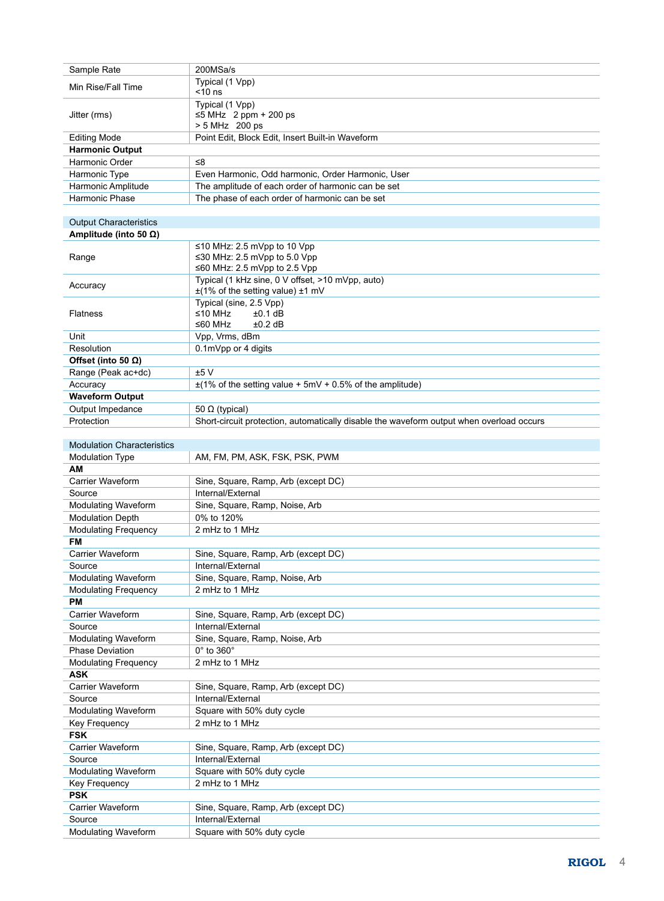| Sample Rate                       | 200MSa/s                                                                                       |
|-----------------------------------|------------------------------------------------------------------------------------------------|
|                                   |                                                                                                |
| Min Rise/Fall Time                | Typical (1 Vpp)<br>$<$ 10 ns                                                                   |
| Jitter (rms)                      | Typical (1 Vpp)<br>$\leq$ 5 MHz 2 ppm + 200 ps<br>> 5 MHz 200 ps                               |
| <b>Editing Mode</b>               | Point Edit, Block Edit, Insert Built-in Waveform                                               |
| <b>Harmonic Output</b>            |                                                                                                |
| Harmonic Order                    | ≤8                                                                                             |
| Harmonic Type                     | Even Harmonic, Odd harmonic, Order Harmonic, User                                              |
| Harmonic Amplitude                | The amplitude of each order of harmonic can be set                                             |
| Harmonic Phase                    | The phase of each order of harmonic can be set                                                 |
|                                   |                                                                                                |
|                                   |                                                                                                |
| <b>Output Characteristics</b>     |                                                                                                |
| Amplitude (into 50 $\Omega$ )     |                                                                                                |
| Range                             | ≤10 MHz: 2.5 mVpp to 10 Vpp<br>≤30 MHz: 2.5 mVpp to 5.0 Vpp<br>≤60 MHz: 2.5 mVpp to 2.5 Vpp    |
| Accuracy                          | Typical (1 kHz sine, 0 V offset, >10 mVpp, auto)<br>$\pm$ (1% of the setting value) $\pm$ 1 mV |
| Flatness                          | Typical (sine, 2.5 Vpp)<br>≤10 MHz<br>±0.1 dB<br>$±0.2$ dB<br>≤60 MHz                          |
| Unit                              | Vpp, Vrms, dBm                                                                                 |
| Resolution                        | 0.1mVpp or 4 digits                                                                            |
| Offset (into 50 $\Omega$ )        |                                                                                                |
| Range (Peak ac+dc)                | ±5V                                                                                            |
| Accuracy                          | $\pm$ (1% of the setting value + 5mV + 0.5% of the amplitude)                                  |
| <b>Waveform Output</b>            |                                                                                                |
| Output Impedance                  | 50 $\Omega$ (typical)                                                                          |
| Protection                        | Short-circuit protection, automatically disable the waveform output when overload occurs       |
|                                   |                                                                                                |
| <b>Modulation Characteristics</b> |                                                                                                |
|                                   |                                                                                                |
| Modulation Type                   | AM, FM, PM, ASK, FSK, PSK, PWM                                                                 |
| ΑМ                                |                                                                                                |
| Carrier Waveform                  | Sine, Square, Ramp, Arb (except DC)                                                            |
| Source                            | Internal/External                                                                              |
| <b>Modulating Waveform</b>        | Sine, Square, Ramp, Noise, Arb                                                                 |
| <b>Modulation Depth</b>           | 0% to 120%                                                                                     |
| <b>Modulating Frequency</b>       | 2 mHz to 1 MHz                                                                                 |
| FM                                |                                                                                                |
| Carrier Waveform                  | Sine, Square, Ramp, Arb (except DC)                                                            |
| Source                            | Internal/External                                                                              |
| <b>Modulating Waveform</b>        | Sine, Square, Ramp, Noise, Arb                                                                 |
| <b>Modulating Frequency</b>       | 2 mHz to 1 MHz                                                                                 |
| РM                                |                                                                                                |
| Carrier Waveform                  | Sine, Square, Ramp, Arb (except DC)                                                            |
| Source                            | Internal/External                                                                              |
| <b>Modulating Waveform</b>        | Sine, Square, Ramp, Noise, Arb                                                                 |
| <b>Phase Deviation</b>            | 0° to 360°                                                                                     |
| <b>Modulating Frequency</b>       | 2 mHz to 1 MHz                                                                                 |
| <b>ASK</b>                        |                                                                                                |
| Carrier Waveform                  | Sine, Square, Ramp, Arb (except DC)                                                            |
| Source                            | Internal/External                                                                              |
| <b>Modulating Waveform</b>        | Square with 50% duty cycle                                                                     |
| Key Frequency                     | 2 mHz to 1 MHz                                                                                 |
| <b>FSK</b>                        |                                                                                                |
| Carrier Waveform                  | Sine, Square, Ramp, Arb (except DC)                                                            |
|                                   |                                                                                                |
| Source                            | Internal/External                                                                              |
| <b>Modulating Waveform</b>        | Square with 50% duty cycle                                                                     |
| Key Frequency                     | 2 mHz to 1 MHz                                                                                 |
| <b>PSK</b>                        |                                                                                                |
| Carrier Waveform                  | Sine, Square, Ramp, Arb (except DC)                                                            |
| Source                            | Internal/External                                                                              |
| Modulating Waveform               | Square with 50% duty cycle                                                                     |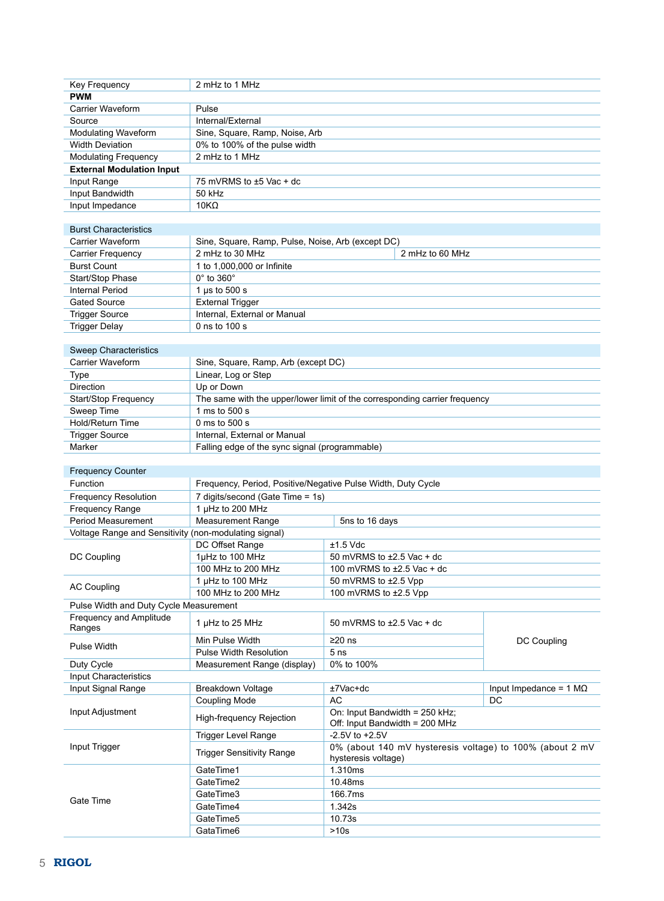| Key Frequency                                         | 2 mHz to 1 MHz                                               |                                                                            |                               |
|-------------------------------------------------------|--------------------------------------------------------------|----------------------------------------------------------------------------|-------------------------------|
| <b>PWM</b>                                            |                                                              |                                                                            |                               |
| <b>Carrier Waveform</b>                               | Pulse                                                        |                                                                            |                               |
| Source                                                | Internal/External                                            |                                                                            |                               |
| Modulating Waveform                                   | Sine, Square, Ramp, Noise, Arb                               |                                                                            |                               |
| <b>Width Deviation</b>                                | 0% to 100% of the pulse width                                |                                                                            |                               |
|                                                       |                                                              |                                                                            |                               |
| <b>Modulating Frequency</b>                           | 2 mHz to 1 MHz                                               |                                                                            |                               |
| <b>External Modulation Input</b>                      |                                                              |                                                                            |                               |
| Input Range                                           | 75 mVRMS to ±5 Vac + dc                                      |                                                                            |                               |
| Input Bandwidth                                       | 50 kHz                                                       |                                                                            |                               |
| Input Impedance                                       | $10K\Omega$                                                  |                                                                            |                               |
|                                                       |                                                              |                                                                            |                               |
| <b>Burst Characteristics</b>                          |                                                              |                                                                            |                               |
| Carrier Waveform                                      | Sine, Square, Ramp, Pulse, Noise, Arb (except DC)            |                                                                            |                               |
| Carrier Frequency                                     | 2 mHz to 30 MHz                                              | 2 mHz to 60 MHz                                                            |                               |
| <b>Burst Count</b>                                    | 1 to 1,000,000 or Infinite                                   |                                                                            |                               |
| Start/Stop Phase                                      | $0^\circ$ to $360^\circ$                                     |                                                                            |                               |
| <b>Internal Period</b>                                | 1 $\mu$ s to 500 s                                           |                                                                            |                               |
|                                                       |                                                              |                                                                            |                               |
| <b>Gated Source</b>                                   | <b>External Trigger</b>                                      |                                                                            |                               |
| <b>Trigger Source</b>                                 | Internal, External or Manual                                 |                                                                            |                               |
| <b>Trigger Delay</b>                                  | 0 ns to 100 s                                                |                                                                            |                               |
|                                                       |                                                              |                                                                            |                               |
| <b>Sweep Characteristics</b>                          |                                                              |                                                                            |                               |
| Carrier Waveform                                      | Sine, Square, Ramp, Arb (except DC)                          |                                                                            |                               |
| <b>Type</b>                                           | Linear, Log or Step                                          |                                                                            |                               |
| <b>Direction</b>                                      | Up or Down                                                   |                                                                            |                               |
| Start/Stop Frequency                                  |                                                              | The same with the upper/lower limit of the corresponding carrier frequency |                               |
| Sweep Time                                            | 1 ms to 500 s                                                |                                                                            |                               |
|                                                       |                                                              |                                                                            |                               |
| Hold/Return Time                                      | 0 ms to 500 s                                                |                                                                            |                               |
| <b>Trigger Source</b>                                 | Internal, External or Manual                                 |                                                                            |                               |
| Marker                                                | Falling edge of the sync signal (programmable)               |                                                                            |                               |
|                                                       |                                                              |                                                                            |                               |
| <b>Frequency Counter</b>                              |                                                              |                                                                            |                               |
| Function                                              | Frequency, Period, Positive/Negative Pulse Width, Duty Cycle |                                                                            |                               |
| <b>Frequency Resolution</b>                           | 7 digits/second (Gate Time = 1s)                             |                                                                            |                               |
| Frequency Range                                       | 1 µHz to 200 MHz                                             |                                                                            |                               |
| Period Measurement                                    | <b>Measurement Range</b>                                     | 5ns to 16 days                                                             |                               |
| Voltage Range and Sensitivity (non-modulating signal) |                                                              |                                                                            |                               |
|                                                       |                                                              |                                                                            |                               |
|                                                       | DC Offset Range                                              | $±1.5$ Vdc                                                                 |                               |
| DC Coupling                                           | 1µHz to 100 MHz                                              | 50 mVRMS to $\pm 2.5$ Vac + dc                                             |                               |
|                                                       | 100 MHz to 200 MHz                                           | 100 mVRMS to $\pm 2.5$ Vac + dc                                            |                               |
| <b>AC Coupling</b>                                    | 1 µHz to 100 MHz                                             | 50 mVRMS to ±2.5 Vpp                                                       |                               |
|                                                       | 100 MHz to 200 MHz                                           | 100 mVRMS to ±2.5 Vpp                                                      |                               |
| Pulse Width and Duty Cycle Measurement                |                                                              |                                                                            |                               |
| Frequency and Amplitude                               |                                                              |                                                                            |                               |
| Ranges                                                | 1 µHz to 25 MHz                                              | 50 mVRMS to $\pm 2.5$ Vac + dc                                             |                               |
|                                                       | Min Pulse Width                                              | $\geq$ 20 ns                                                               | DC Coupling                   |
| Pulse Width                                           | <b>Pulse Width Resolution</b>                                | 5 <sub>ns</sub>                                                            |                               |
| Duty Cycle                                            | Measurement Range (display)                                  | 0% to 100%                                                                 |                               |
| Input Characteristics                                 |                                                              |                                                                            |                               |
|                                                       |                                                              |                                                                            |                               |
| Input Signal Range                                    | Breakdown Voltage                                            | ±7Vac+dc                                                                   | Input Impedance = $1 M\Omega$ |
|                                                       | <b>Coupling Mode</b>                                         | AC                                                                         | DC                            |
| Input Adjustment                                      | <b>High-frequency Rejection</b>                              | On: Input Bandwidth = 250 kHz;<br>Off: Input Bandwidth = 200 MHz           |                               |
|                                                       | <b>Trigger Level Range</b>                                   | $-2.5V$ to $+2.5V$                                                         |                               |
| Input Trigger                                         |                                                              | 0% (about 140 mV hysteresis voltage) to 100% (about 2 mV                   |                               |
|                                                       |                                                              |                                                                            |                               |
|                                                       | <b>Trigger Sensitivity Range</b>                             | hysteresis voltage)                                                        |                               |
|                                                       | GateTime1                                                    | 1.310ms                                                                    |                               |
|                                                       | GateTime2                                                    | 10.48ms                                                                    |                               |
|                                                       |                                                              |                                                                            |                               |
| Gate Time                                             | GateTime3                                                    | 166.7ms                                                                    |                               |
|                                                       | GateTime4                                                    | 1.342s                                                                     |                               |
|                                                       | GateTime5<br>GataTime6                                       | 10.73s<br>>10s                                                             |                               |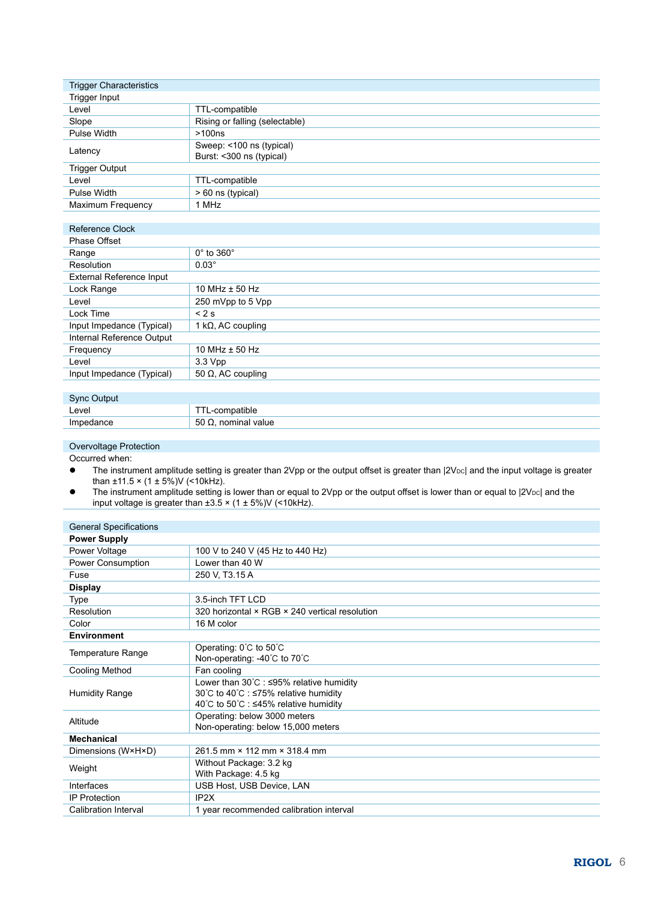| <b>Trigger Characteristics</b> |                                |
|--------------------------------|--------------------------------|
| Trigger Input                  |                                |
| Level                          | TTL-compatible                 |
| Slope                          | Rising or falling (selectable) |
| Pulse Width                    | >100ns                         |
| Latency                        | Sweep: <100 ns (typical)       |
|                                | Burst: <300 ns (typical)       |
| <b>Trigger Output</b>          |                                |
| Level                          | TTL-compatible                 |
| Pulse Width                    | > 60 ns (typical)              |
| Maximum Frequency              | 1 MHz                          |

| Reference Clock           |                            |
|---------------------------|----------------------------|
| Phase Offset              |                            |
| Range                     | $0^\circ$ to $360^\circ$   |
| Resolution                | $0.03^\circ$               |
| External Reference Input  |                            |
| Lock Range                | 10 MHz $\pm$ 50 Hz         |
| Level                     | 250 mVpp to 5 Vpp          |
| Lock Time                 | < 2s                       |
| Input Impedance (Typical) | 1 k $\Omega$ , AC coupling |
| Internal Reference Output |                            |
| Frequency                 | 10 MHz $\pm$ 50 Hz         |
| Level                     | 3.3 Vpp                    |
| Input Impedance (Typical) | 50 $\Omega$ , AC coupling  |
|                           |                            |

| Sync Output |                     |
|-------------|---------------------|
| Level       | TL-compatible       |
| Impedance   | 50 Ω, nominal value |

#### Overvoltage Protection

Occurred when:

- The instrument amplitude setting is greater than 2Vpp or the output offset is greater than |2VDC| and the input voltage is greater than  $\pm 11.5 \times (1 \pm 5\%)V$  (<10kHz).
- $\bullet$  The instrument amplitude setting is lower than or equal to 2Vpp or the output offset is lower than or equal to  $|2V_{\text{DC}}|$  and the input voltage is greater than ±3.5 × (1 ± 5%)V (<10kHz).

| <b>General Specifications</b> |                                                                                                                                        |
|-------------------------------|----------------------------------------------------------------------------------------------------------------------------------------|
| <b>Power Supply</b>           |                                                                                                                                        |
| Power Voltage                 | 100 V to 240 V (45 Hz to 440 Hz)                                                                                                       |
| Power Consumption             | Lower than 40 W                                                                                                                        |
| Fuse                          | 250 V, T3.15 A                                                                                                                         |
| <b>Display</b>                |                                                                                                                                        |
| Type                          | 3.5-inch TFT LCD                                                                                                                       |
| Resolution                    | 320 horizontal × RGB × 240 vertical resolution                                                                                         |
| Color                         | 16 M color                                                                                                                             |
| <b>Environment</b>            |                                                                                                                                        |
| Temperature Range             | Operating: 0°C to 50°C<br>Non-operating: -40°C to 70°C                                                                                 |
| <b>Cooling Method</b>         | Fan cooling                                                                                                                            |
| <b>Humidity Range</b>         | Lower than $30^{\circ}$ C : $\leq$ 95% relative humidity<br>30℃ to 40℃ : ≤75% relative humidity<br>40℃ to 50℃ : ≤45% relative humidity |
| Altitude                      | Operating: below 3000 meters<br>Non-operating: below 15,000 meters                                                                     |
| <b>Mechanical</b>             |                                                                                                                                        |
| Dimensions (W×H×D)            | 261.5 mm × 112 mm × 318.4 mm                                                                                                           |
| Weight                        | Without Package: 3.2 kg<br>With Package: 4.5 kg                                                                                        |
| Interfaces                    | USB Host, USB Device, LAN                                                                                                              |
| <b>IP Protection</b>          | IP <sub>2</sub> X                                                                                                                      |
| Calibration Interval          | 1 year recommended calibration interval                                                                                                |